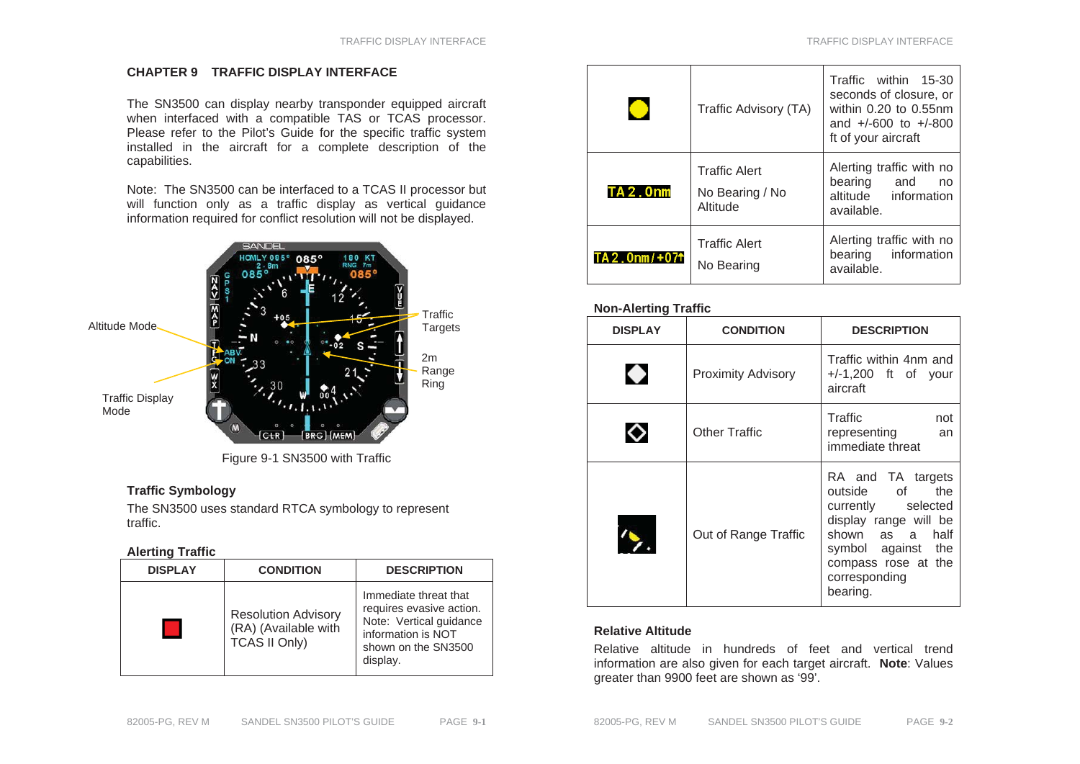## **CHAPTER 9 TRAFFIC DISPLAY INTERFACE**

The SN3500 can display nearby transponder equipped aircraft when interfaced with a compatible TAS or TCAS processor. Please refer to the Pilot's Guide for the specific traffic system installed in the aircraft for a complete description of the capabilities.

Note: The SN3500 can be interfaced to a TCAS II processor but will function only as a traffic display as vertical guidance information required for conflict resolution will not be displayed.



Figure 9-1 SN3500 with Traffic

# **Traffic Symbology**

The SN3500 uses standard RTCA symbology to represent traffic.

## **Alerting Traffic**

| <b>DISPLAY</b> | <b>CONDITION</b>                                                           | <b>DESCRIPTION</b>                                                                                                                    |  |
|----------------|----------------------------------------------------------------------------|---------------------------------------------------------------------------------------------------------------------------------------|--|
|                | <b>Resolution Advisory</b><br>(RA) (Available with<br><b>TCAS II Only)</b> | Immediate threat that<br>requires evasive action.<br>Note: Vertical guidance<br>information is NOT<br>shown on the SN3500<br>display. |  |

|                              | Traffic Advisory (TA)                               | Traffic within 15-30<br>seconds of closure, or<br>within 0.20 to 0.55nm<br>and $+/-600$ to $+/-800$<br>ft of your aircraft |
|------------------------------|-----------------------------------------------------|----------------------------------------------------------------------------------------------------------------------------|
| <b>TA2.0nm</b>               | <b>Traffic Alert</b><br>No Bearing / No<br>Altitude | Alerting traffic with no<br>bearing and<br>no<br>altitude information<br>available.                                        |
| $TA 2.0$ nm/+07 <sup>+</sup> | <b>Traffic Alert</b><br>No Bearing                  | Alerting traffic with no<br>information<br>bearing<br>available.                                                           |

## **Non-Alerting Traffic**

| <b>DISPLAY</b> | <b>CONDITION</b>          | <b>DESCRIPTION</b>                                                                                                                                                                    |  |
|----------------|---------------------------|---------------------------------------------------------------------------------------------------------------------------------------------------------------------------------------|--|
|                | <b>Proximity Advisory</b> | Traffic within 4nm and<br>$+/-1,200$ ft of your<br>aircraft                                                                                                                           |  |
|                | Other Traffic             | Traffic<br>not<br>representing<br>an<br>immediate threat                                                                                                                              |  |
|                | Out of Range Traffic      | RA and TA targets<br>outside of<br>the<br>currently selected<br>display range will be<br>shown as a<br>half<br>symbol against the<br>compass rose at the<br>corresponding<br>bearing. |  |

## **Relative Altitude**

Relative altitude in hundreds of feet and vertical trend information are also given for each target aircraft. **Note**: Values greater than 9900 feet are shown as '99'.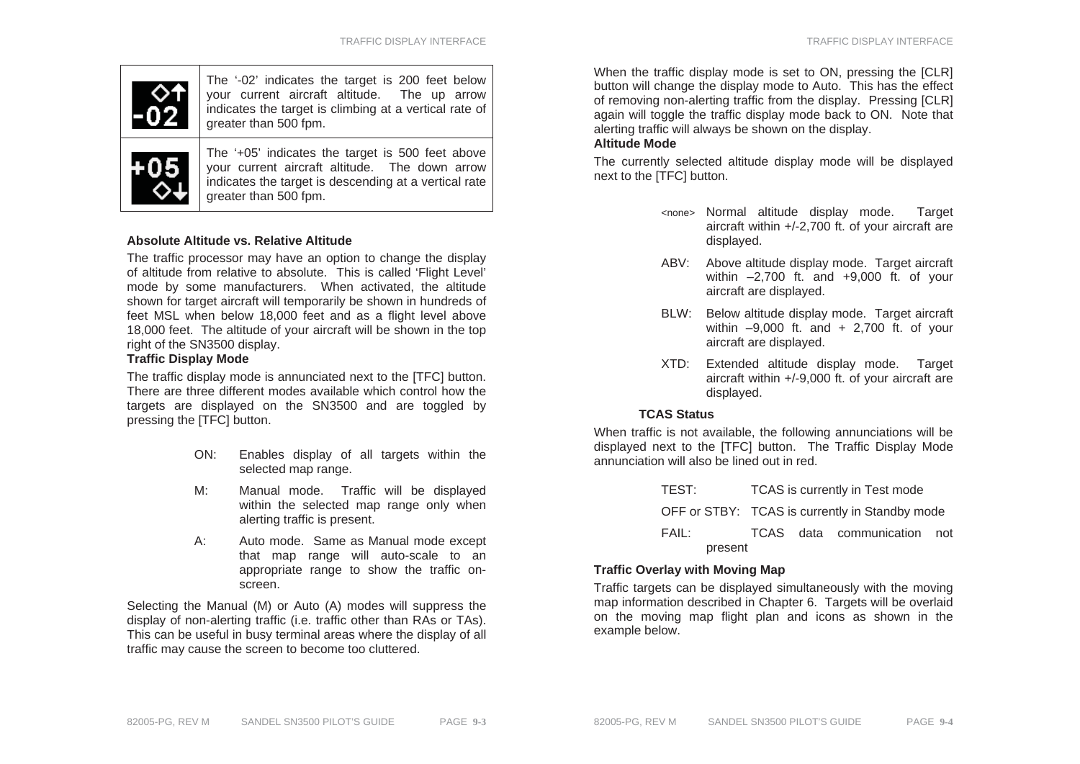

The '-02' indicates the target is 200 feet below your current aircraft altitude. The up arrow indicates the target is climbing at a vertical rate of greater than 500 fpm.



The '+05' indicates the target is 500 feet above your current aircraft altitude. The down arrow indicates the target is descending at a vertical rate greater than 500 fpm.

### **Absolute Altitude vs. Relative Altitude**

The traffic processor may have an option to change the display of altitude from relative to absolute. This is called 'Flight Level' mode by some manufacturers. When activated, the altitude shown for target aircraft will temporarily be shown in hundreds of feet MSL when below 18,000 feet and as a flight level above 18,000 feet. The altitude of your aircraft will be shown in the top right of the SN3500 display.

#### **Traffic Display Mode**

The traffic display mode is annunciated next to the [TFC] button. There are three different modes available which control how the targets are displayed on the SN3500 and are toggled by pressing the [TFC] button.

- ON: Enables display of all targets within the selected map range.
- M: Manual mode. Traffic will be displayed within the selected map range only when alerting traffic is present.
- A: Auto mode. Same as Manual mode except that map range will auto-scale to an appropriate range to show the traffic onscreen.

Selecting the Manual (M) or Auto (A) modes will suppress the display of non-alerting traffic (i.e. traffic other than RAs or TAs). This can be useful in busy terminal areas where the display of all traffic may cause the screen to become too cluttered.

When the traffic display mode is set to ON, pressing the ICLR1 button will change the display mode to Auto. This has the effect of removing non-alerting traffic from the display. Pressing [CLR] again will toggle the traffic display mode back to ON. Note that alerting traffic will always be shown on the display.

#### **Altitude Mode**

The currently selected altitude display mode will be displayed next to the [TFC] button.

- <none> Normal altitude display mode. Target aircraft within +/-2,700 ft. of your aircraft are displayed.
- ABV: Above altitude display mode. Target aircraft within –2,700 ft. and +9,000 ft. of your aircraft are displayed.
- BLW: Below altitude display mode. Target aircraft within –9,000 ft. and + 2,700 ft. of your aircraft are displayed.
- XTD: Extended altitude display mode. Target aircraft within +/-9,000 ft. of your aircraft are displayed.

#### **TCAS Status**

When traffic is not available, the following annunciations will be displayed next to the [TFC] button. The Traffic Display Mode annunciation will also be lined out in red.

| TEST:   | TCAS is currently in Test mode                 |  |                             |  |
|---------|------------------------------------------------|--|-----------------------------|--|
|         | OFF or STBY: TCAS is currently in Standby mode |  |                             |  |
| FAIL:   |                                                |  | TCAS data communication not |  |
| present |                                                |  |                             |  |

## **Traffic Overlay with Moving Map**

Traffic targets can be displayed simultaneously with the moving map information described in Chapter 6. Targets will be overlaid on the moving map flight plan and icons as shown in the example below.